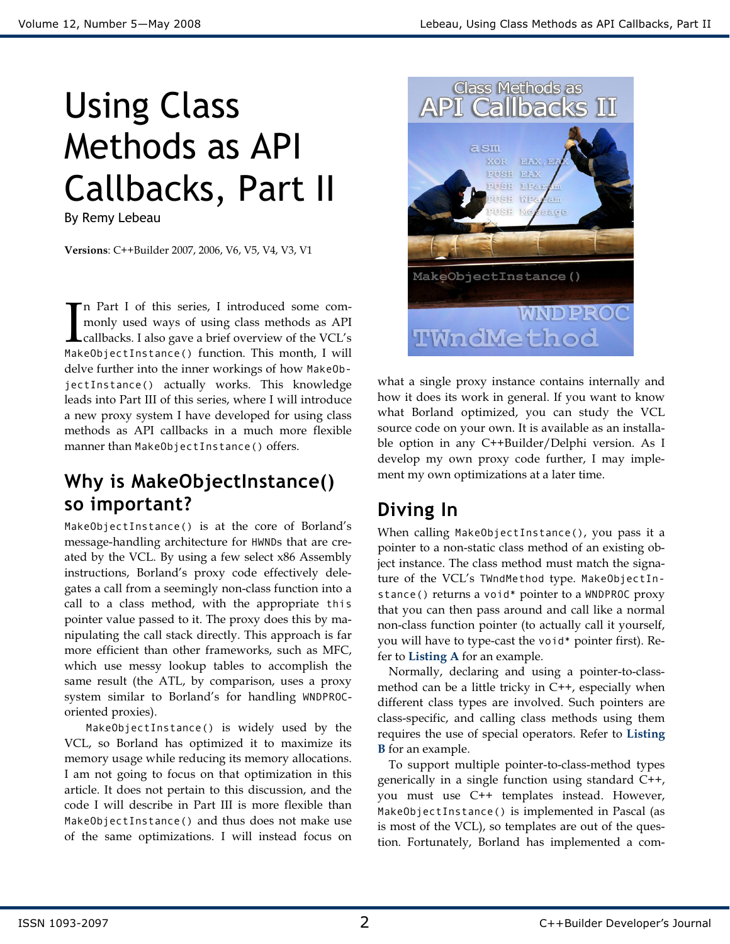# Using Class Methods as API Callbacks, Part II

By Remy Lebeau

Versions: C++Builder 2007, 2006, V6, V5, V4, V3, V1

n Part I of this series, I introduced some commonly used ways of using class methods as API callbacks. I also gave a brief overview of the VCL's MakeObjectInstance() function. This month, I will delve further into the inner workings of how MakeObjectInstance() actually works. This knowledge leads into Part III of this series, where I will introduce a new proxy system I have developed for using class methods as API callbacks in a much more flexible manner than MakeObjectInstance() offers.  $\prod_{\texttt{Mat}}$ 

# Why is MakeObjectInstance() so important?

MakeObjectInstance() is at the core of Borland's message-handling architecture for HWNDs that are created by the VCL. By using a few select x86 Assembly instructions, Borland's proxy code effectively delegates a call from a seemingly non-class function into a call to a class method, with the appropriate this pointer value passed to it. The proxy does this by manipulating the call stack directly. This approach is far more efficient than other frameworks, such as MFC, which use messy lookup tables to accomplish the same result (the ATL, by comparison, uses a proxy system similar to Borland's for handling WNDPROCoriented proxies).

MakeObjectInstance() is widely used by the VCL, so Borland has optimized it to maximize its memory usage while reducing its memory allocations. I am not going to focus on that optimization in this article. It does not pertain to this discussion, and the code I will describe in Part III is more flexible than MakeObjectInstance() and thus does not make use of the same optimizations. I will instead focus on



what a single proxy instance contains internally and how it does its work in general. If you want to know what Borland optimized, you can study the VCL source code on your own. It is available as an installable option in any C++Builder/Delphi version. As I develop my own proxy code further, I may implement my own optimizations at a later time.

# Diving In

When calling MakeObjectInstance(), you pass it a pointer to a non-static class method of an existing object instance. The class method must match the signature of the VCL's TWndMethod type. MakeObjectInstance() returns a void\* pointer to a WNDPROC proxy that you can then pass around and call like a normal non-class function pointer (to actually call it yourself, you will have to type-cast the void\* pointer first). Refer to Listing A for an example.

Normally, declaring and using a pointer-to-classmethod can be a little tricky in C++, especially when different class types are involved. Such pointers are class-specific, and calling class methods using them requires the use of special operators. Refer to Listing **B** for an example.

To support multiple pointer-to-class-method types generically in a single function using standard C++, you must use C++ templates instead. However, MakeObjectInstance() is implemented in Pascal (as is most of the VCL), so templates are out of the question. Fortunately, Borland has implemented a com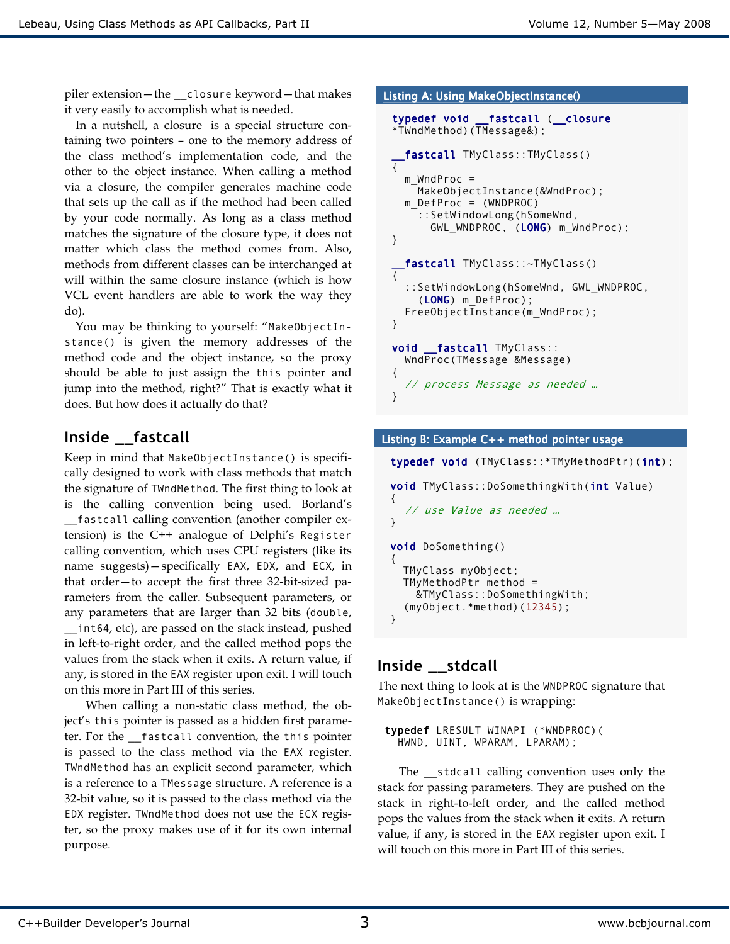piler extension—the \_\_closure keyword—that makes it very easily to accomplish what is needed.

In a nutshell, a closure is a special structure containing two pointers – one to the memory address of the class method's implementation code, and the other to the object instance. When calling a method via a closure, the compiler generates machine code that sets up the call as if the method had been called by your code normally. As long as a class method matches the signature of the closure type, it does not matter which class the method comes from. Also, methods from different classes can be interchanged at will within the same closure instance (which is how VCL event handlers are able to work the way they do).

You may be thinking to yourself: "MakeObjectInstance() is given the memory addresses of the method code and the object instance, so the proxy should be able to just assign the this pointer and jump into the method, right?" That is exactly what it does. But how does it actually do that?

### Inside \_\_fastcall

Keep in mind that MakeObjectInstance() is specifically designed to work with class methods that match the signature of TWndMethod. The first thing to look at is the calling convention being used. Borland's \_\_fastcall calling convention (another compiler extension) is the C++ analogue of Delphi's Register calling convention, which uses CPU registers (like its name suggests)—specifically EAX, EDX, and ECX, in that order—to accept the first three 32-bit-sized parameters from the caller. Subsequent parameters, or any parameters that are larger than 32 bits (double, \_\_int64, etc), are passed on the stack instead, pushed in left-to-right order, and the called method pops the values from the stack when it exits. A return value, if any, is stored in the EAX register upon exit. I will touch on this more in Part III of this series.

When calling a non-static class method, the object's this pointer is passed as a hidden first parameter. For the fastcall convention, the this pointer is passed to the class method via the EAX register. TWndMethod has an explicit second parameter, which is a reference to a TMessage structure. A reference is a 32-bit value, so it is passed to the class method via the EDX register. TWndMethod does not use the ECX register, so the proxy makes use of it for its own internal purpose.

#### Listing A: Using MakeObjectInstance() typedef void \_\_fastcall (\_\_closure \*TWndMethod)(TMessage&); fastcall TMyClass::TMyClass()

```
{ 
  m WndProc =
     MakeObjectInstance(&WndProc); 
   m_DefProc = (WNDPROC) 
     ::SetWindowLong(hSomeWnd, 
       GWL_WNDPROC, (LONG) m_WndProc); 
} 
  fastcall TMyClass::~TMyClass()
{ 
   ::SetWindowLong(hSomeWnd, GWL_WNDPROC, 
     (LONG) m_DefProc); 
   FreeObjectInstance(m_WndProc); 
} 
void fastcall TMyClass::
   WndProc(TMessage &Message) 
{ 
   // process Message as needed … 
}
```
#### Listing B: Example  $C++$  method pointer usage

```
typedef void (TMyClass::*TMyMethodPtr)(int); 
void TMyClass::DoSomethingWith(int Value) 
{ 
  // use Value as needed … 
} 
void DoSomething()
```

```
{ 
   TMyClass myObject; 
  TMyMethodPtr method =
     &TMyClass::DoSomethingWith; 
   (myObject.*method)(12345); 
}
```
## Inside \_\_stdcall

The next thing to look at is the WNDPROC signature that MakeObjectInstance() is wrapping:

```
typedef LRESULT WINAPI (*WNDPROC)( 
   HWND, UINT, WPARAM, LPARAM);
```
The \_\_stdcall calling convention uses only the stack for passing parameters. They are pushed on the stack in right-to-left order, and the called method pops the values from the stack when it exits. A return value, if any, is stored in the EAX register upon exit. I will touch on this more in Part III of this series.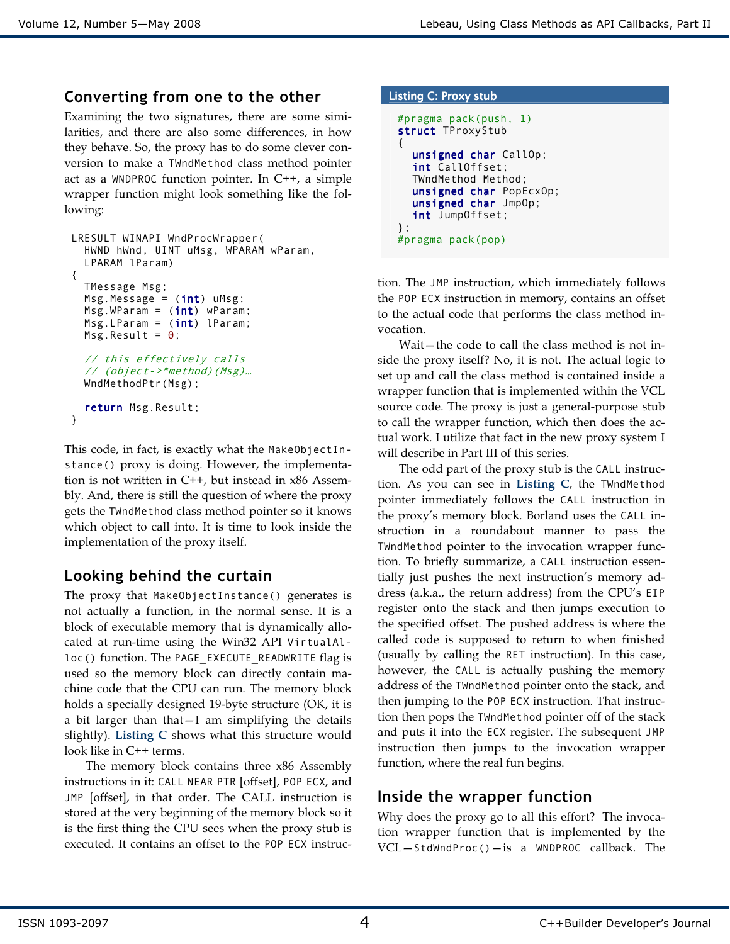#### Converting from one to the other

Examining the two signatures, there are some similarities, and there are also some differences, in how they behave. So, the proxy has to do some clever conversion to make a TWndMethod class method pointer act as a WNDPROC function pointer. In C++, a simple wrapper function might look something like the following:

```
LRESULT WINAPI WndProcWrapper( 
   HWND hWnd, UINT uMsg, WPARAM wParam, 
   LPARAM lParam) 
{ 
   TMessage Msg; 
  Msg.Message = (int) uMsg;Msg.WParam = (int) WParam;Msg.LParam = (int) lParam;Msg.Result = 0; // this effectively calls 
   // (object->*method)(Msg)… 
   WndMethodPtr(Msg); 
   return Msg.Result; 
}
```
This code, in fact, is exactly what the MakeObjectInstance() proxy is doing. However, the implementation is not written in C++, but instead in x86 Assembly. And, there is still the question of where the proxy gets the TWndMethod class method pointer so it knows which object to call into. It is time to look inside the implementation of the proxy itself.

## Looking behind the curtain

The proxy that MakeObjectInstance() generates is not actually a function, in the normal sense. It is a block of executable memory that is dynamically allocated at run-time using the Win32 API VirtualAlloc() function. The PAGE\_EXECUTE\_READWRITE flag is used so the memory block can directly contain machine code that the CPU can run. The memory block holds a specially designed 19-byte structure (OK, it is a bit larger than that—I am simplifying the details slightly). Listing C shows what this structure would look like in C++ terms.

The memory block contains three x86 Assembly instructions in it: CALL NEAR PTR [offset], POP ECX, and JMP [offset], in that order. The CALL instruction is stored at the very beginning of the memory block so it is the first thing the CPU sees when the proxy stub is executed. It contains an offset to the POP ECX instruc-

#### Listing C: Proxy stub

```
#pragma pack(push, 1) 
struct TProxyStub 
{ 
  unsigned char CallOp;
  int CallOffset; 
   TWndMethod Method; 
  unsigned char PopEcxOp;
  unsigned char JmpOp;
  int JumpOffset; 
}; 
#pragma pack(pop)
```
tion. The JMP instruction, which immediately follows the POP ECX instruction in memory, contains an offset to the actual code that performs the class method invocation.

Wait—the code to call the class method is not inside the proxy itself? No, it is not. The actual logic to set up and call the class method is contained inside a wrapper function that is implemented within the VCL source code. The proxy is just a general-purpose stub to call the wrapper function, which then does the actual work. I utilize that fact in the new proxy system I will describe in Part III of this series.

The odd part of the proxy stub is the CALL instruction. As you can see in Listing C, the TWndMethod pointer immediately follows the CALL instruction in the proxy's memory block. Borland uses the CALL instruction in a roundabout manner to pass the TWndMethod pointer to the invocation wrapper function. To briefly summarize, a CALL instruction essentially just pushes the next instruction's memory address (a.k.a., the return address) from the CPU's EIP register onto the stack and then jumps execution to the specified offset. The pushed address is where the called code is supposed to return to when finished (usually by calling the RET instruction). In this case, however, the CALL is actually pushing the memory address of the TWndMethod pointer onto the stack, and then jumping to the POP ECX instruction. That instruction then pops the TWndMethod pointer off of the stack and puts it into the ECX register. The subsequent JMP instruction then jumps to the invocation wrapper function, where the real fun begins.

#### Inside the wrapper function

Why does the proxy go to all this effort? The invocation wrapper function that is implemented by the  $VCL - StdWndProc() - is a WNDPROC callback. The$